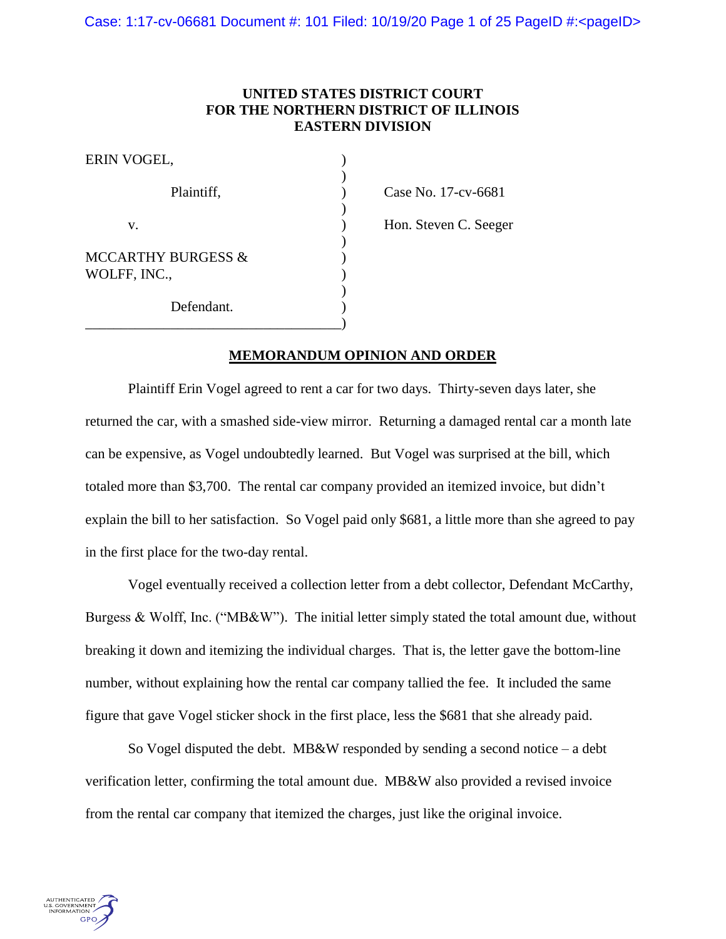# **UNITED STATES DISTRICT COURT FOR THE NORTHERN DISTRICT OF ILLINOIS EASTERN DIVISION**

| ERIN VOGEL,                                   |  |
|-----------------------------------------------|--|
| Plaintiff,                                    |  |
| V.                                            |  |
| <b>MCCARTHY BURGESS &amp;</b><br>WOLFF, INC., |  |
| Defendant.                                    |  |

Case No. 17-cv-6681

Hon. Steven C. Seeger

# **MEMORANDUM OPINION AND ORDER**

Plaintiff Erin Vogel agreed to rent a car for two days. Thirty-seven days later, she returned the car, with a smashed side-view mirror. Returning a damaged rental car a month late can be expensive, as Vogel undoubtedly learned. But Vogel was surprised at the bill, which totaled more than \$3,700. The rental car company provided an itemized invoice, but didn't explain the bill to her satisfaction. So Vogel paid only \$681, a little more than she agreed to pay in the first place for the two-day rental.

Vogel eventually received a collection letter from a debt collector, Defendant McCarthy, Burgess & Wolff, Inc. ("MB&W"). The initial letter simply stated the total amount due, without breaking it down and itemizing the individual charges. That is, the letter gave the bottom-line number, without explaining how the rental car company tallied the fee. It included the same figure that gave Vogel sticker shock in the first place, less the \$681 that she already paid.

So Vogel disputed the debt. MB&W responded by sending a second notice – a debt verification letter, confirming the total amount due. MB&W also provided a revised invoice from the rental car company that itemized the charges, just like the original invoice.

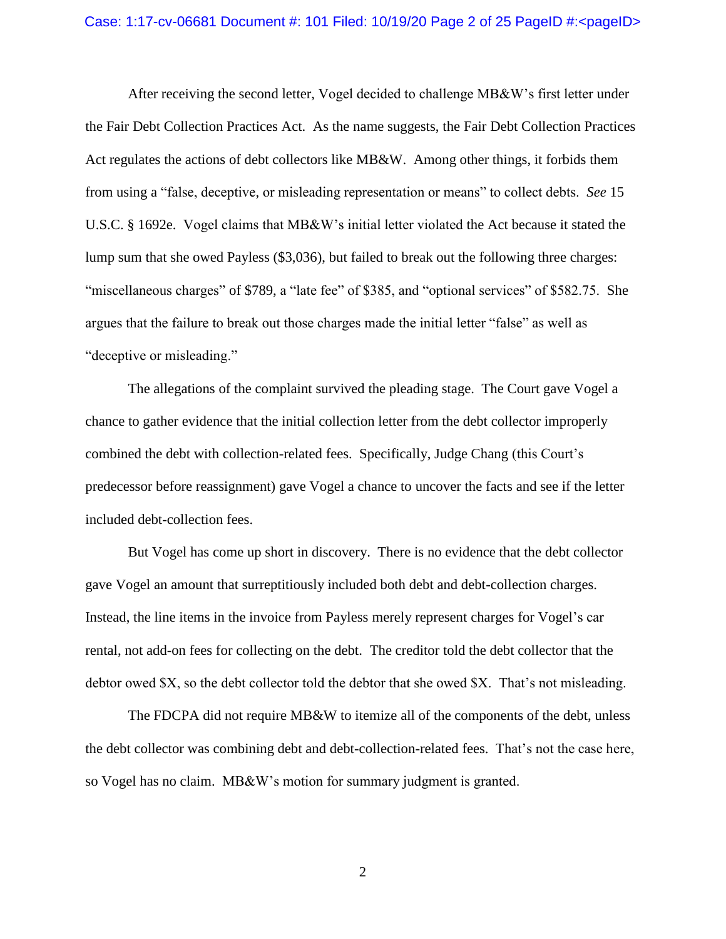### Case: 1:17-cv-06681 Document #: 101 Filed: 10/19/20 Page 2 of 25 PageID #:<pageID>

After receiving the second letter, Vogel decided to challenge MB&W's first letter under the Fair Debt Collection Practices Act. As the name suggests, the Fair Debt Collection Practices Act regulates the actions of debt collectors like MB&W. Among other things, it forbids them from using a "false, deceptive, or misleading representation or means" to collect debts. *See* 15 U.S.C. § 1692e. Vogel claims that MB&W's initial letter violated the Act because it stated the lump sum that she owed Payless (\$3,036), but failed to break out the following three charges: "miscellaneous charges" of \$789, a "late fee" of \$385, and "optional services" of \$582.75. She argues that the failure to break out those charges made the initial letter "false" as well as "deceptive or misleading."

The allegations of the complaint survived the pleading stage. The Court gave Vogel a chance to gather evidence that the initial collection letter from the debt collector improperly combined the debt with collection-related fees. Specifically, Judge Chang (this Court's predecessor before reassignment) gave Vogel a chance to uncover the facts and see if the letter included debt-collection fees.

But Vogel has come up short in discovery. There is no evidence that the debt collector gave Vogel an amount that surreptitiously included both debt and debt-collection charges. Instead, the line items in the invoice from Payless merely represent charges for Vogel's car rental, not add-on fees for collecting on the debt. The creditor told the debt collector that the debtor owed \$X, so the debt collector told the debtor that she owed \$X. That's not misleading.

The FDCPA did not require MB&W to itemize all of the components of the debt, unless the debt collector was combining debt and debt-collection-related fees. That's not the case here, so Vogel has no claim. MB&W's motion for summary judgment is granted.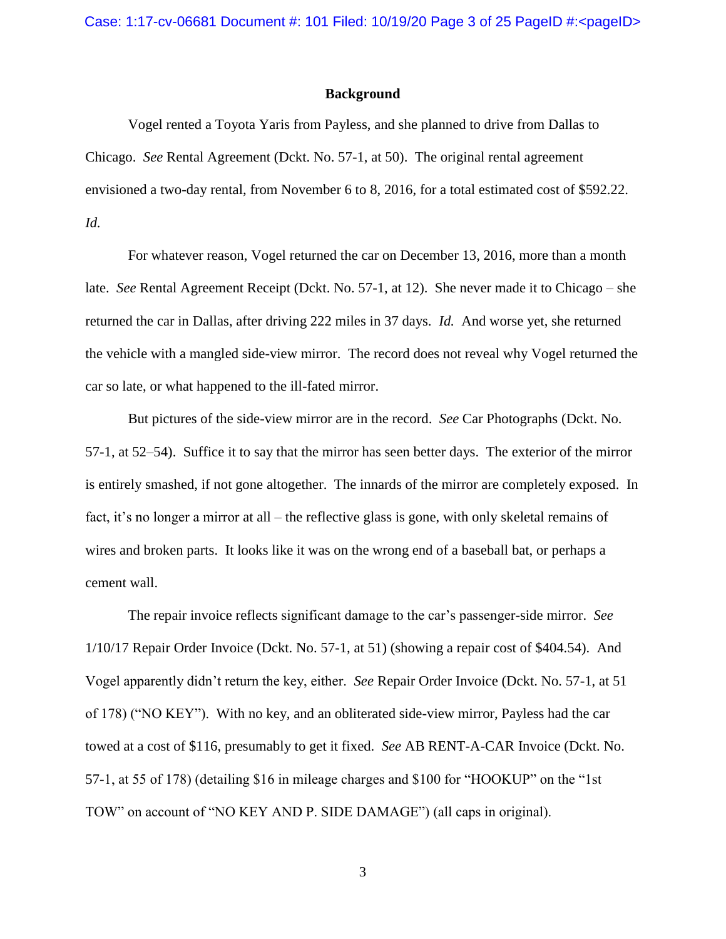### **Background**

Vogel rented a Toyota Yaris from Payless, and she planned to drive from Dallas to Chicago. *See* Rental Agreement (Dckt. No. 57-1, at 50). The original rental agreement envisioned a two-day rental, from November 6 to 8, 2016, for a total estimated cost of \$592.22. *Id.*

For whatever reason, Vogel returned the car on December 13, 2016, more than a month late. *See* Rental Agreement Receipt (Dckt. No. 57-1, at 12). She never made it to Chicago – she returned the car in Dallas, after driving 222 miles in 37 days. *Id.* And worse yet, she returned the vehicle with a mangled side-view mirror. The record does not reveal why Vogel returned the car so late, or what happened to the ill-fated mirror.

But pictures of the side-view mirror are in the record. *See* Car Photographs (Dckt. No. 57-1, at 52–54). Suffice it to say that the mirror has seen better days. The exterior of the mirror is entirely smashed, if not gone altogether. The innards of the mirror are completely exposed. In fact, it's no longer a mirror at all – the reflective glass is gone, with only skeletal remains of wires and broken parts. It looks like it was on the wrong end of a baseball bat, or perhaps a cement wall.

The repair invoice reflects significant damage to the car's passenger-side mirror. *See*  1/10/17 Repair Order Invoice (Dckt. No. 57-1, at 51) (showing a repair cost of \$404.54). And Vogel apparently didn't return the key, either. *See* Repair Order Invoice (Dckt. No. 57-1, at 51 of 178) ("NO KEY"). With no key, and an obliterated side-view mirror, Payless had the car towed at a cost of \$116, presumably to get it fixed. *See* AB RENT-A-CAR Invoice (Dckt. No. 57-1, at 55 of 178) (detailing \$16 in mileage charges and \$100 for "HOOKUP" on the "1st TOW" on account of "NO KEY AND P. SIDE DAMAGE") (all caps in original).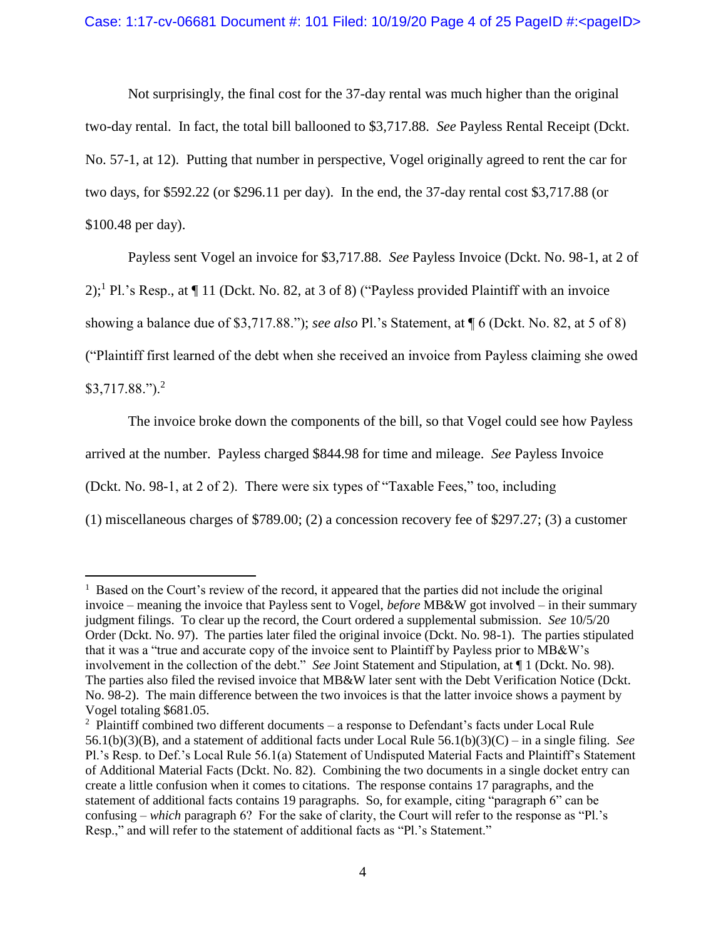Not surprisingly, the final cost for the 37-day rental was much higher than the original two-day rental. In fact, the total bill ballooned to \$3,717.88. *See* Payless Rental Receipt (Dckt. No. 57-1, at 12). Putting that number in perspective, Vogel originally agreed to rent the car for two days, for \$592.22 (or \$296.11 per day). In the end, the 37-day rental cost \$3,717.88 (or \$100.48 per day).

Payless sent Vogel an invoice for \$3,717.88. *See* Payless Invoice (Dckt. No. 98-1, at 2 of

 $2$ ;<sup>1</sup> Pl.'s Resp., at  $\P$  11 (Dckt. No. 82, at 3 of 8) ("Payless provided Plaintiff with an invoice

showing a balance due of \$3,717.88."); *see also* Pl.'s Statement, at ¶ 6 (Dckt. No. 82, at 5 of 8)

("Plaintiff first learned of the debt when she received an invoice from Payless claiming she owed

 $$3,717.88."$ ).<sup>2</sup>

 $\overline{a}$ 

The invoice broke down the components of the bill, so that Vogel could see how Payless

arrived at the number. Payless charged \$844.98 for time and mileage. *See* Payless Invoice

(Dckt. No. 98-1, at 2 of 2). There were six types of "Taxable Fees," too, including

(1) miscellaneous charges of \$789.00; (2) a concession recovery fee of \$297.27; (3) a customer

 $<sup>1</sup>$  Based on the Court's review of the record, it appeared that the parties did not include the original</sup> invoice – meaning the invoice that Payless sent to Vogel, *before* MB&W got involved – in their summary judgment filings. To clear up the record, the Court ordered a supplemental submission. *See* 10/5/20 Order (Dckt. No. 97). The parties later filed the original invoice (Dckt. No. 98-1). The parties stipulated that it was a "true and accurate copy of the invoice sent to Plaintiff by Payless prior to MB&W's involvement in the collection of the debt." *See* Joint Statement and Stipulation, at ¶ 1 (Dckt. No. 98). The parties also filed the revised invoice that MB&W later sent with the Debt Verification Notice (Dckt. No. 98-2). The main difference between the two invoices is that the latter invoice shows a payment by Vogel totaling \$681.05.

<sup>&</sup>lt;sup>2</sup> Plaintiff combined two different documents – a response to Defendant's facts under Local Rule 56.1(b)(3)(B), and a statement of additional facts under Local Rule 56.1(b)(3)(C) – in a single filing. *See*  Pl.'s Resp. to Def.'s Local Rule 56.1(a) Statement of Undisputed Material Facts and Plaintiff's Statement of Additional Material Facts (Dckt. No. 82). Combining the two documents in a single docket entry can create a little confusion when it comes to citations. The response contains 17 paragraphs, and the statement of additional facts contains 19 paragraphs. So, for example, citing "paragraph 6" can be confusing – *which* paragraph 6? For the sake of clarity, the Court will refer to the response as "Pl.'s Resp.," and will refer to the statement of additional facts as "Pl.'s Statement."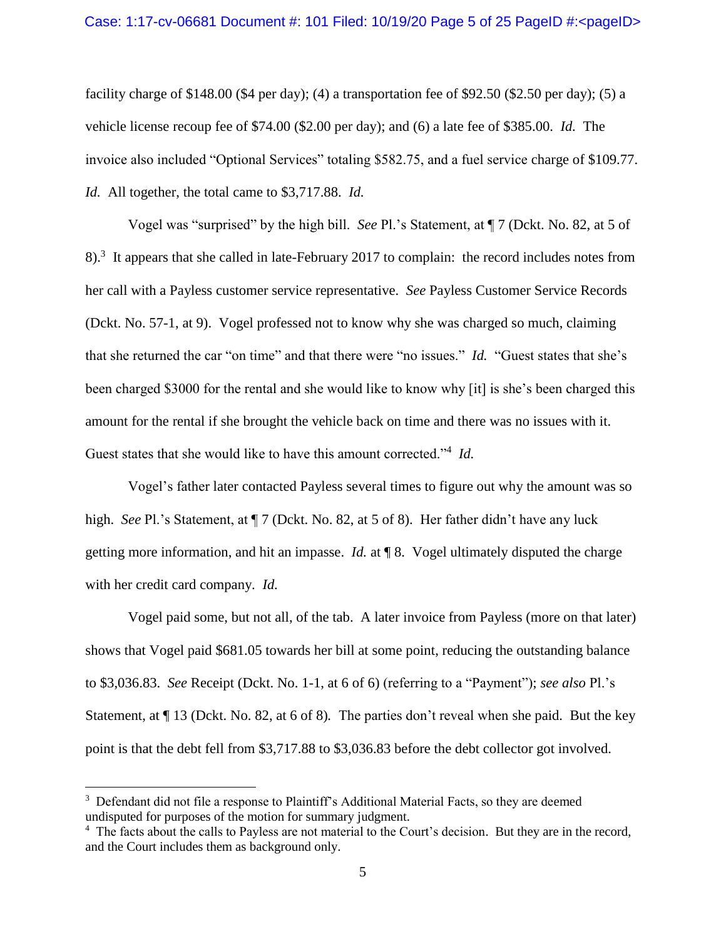facility charge of \$148.00 (\$4 per day); (4) a transportation fee of \$92.50 (\$2.50 per day); (5) a vehicle license recoup fee of \$74.00 (\$2.00 per day); and (6) a late fee of \$385.00. *Id.* The invoice also included "Optional Services" totaling \$582.75, and a fuel service charge of \$109.77. *Id.* All together, the total came to \$3,717.88. *Id.* 

Vogel was "surprised" by the high bill. *See* Pl.'s Statement, at ¶ 7 (Dckt. No. 82, at 5 of 8).<sup>3</sup> It appears that she called in late-February 2017 to complain: the record includes notes from her call with a Payless customer service representative. *See* Payless Customer Service Records (Dckt. No. 57-1, at 9). Vogel professed not to know why she was charged so much, claiming that she returned the car "on time" and that there were "no issues." *Id.* "Guest states that she's been charged \$3000 for the rental and she would like to know why [it] is she's been charged this amount for the rental if she brought the vehicle back on time and there was no issues with it. Guest states that she would like to have this amount corrected."<sup>4</sup> Id.

Vogel's father later contacted Payless several times to figure out why the amount was so high. *See* Pl.'s Statement, at  $\P$  7 (Dckt. No. 82, at 5 of 8). Her father didn't have any luck getting more information, and hit an impasse. *Id.* at ¶ 8. Vogel ultimately disputed the charge with her credit card company. *Id.* 

Vogel paid some, but not all, of the tab. A later invoice from Payless (more on that later) shows that Vogel paid \$681.05 towards her bill at some point, reducing the outstanding balance to \$3,036.83. *See* Receipt (Dckt. No. 1-1, at 6 of 6) (referring to a "Payment"); *see also* Pl.'s Statement, at ¶ 13 (Dckt. No. 82, at 6 of 8)*.* The parties don't reveal when she paid. But the key point is that the debt fell from \$3,717.88 to \$3,036.83 before the debt collector got involved.

 $\overline{a}$ 

<sup>&</sup>lt;sup>3</sup> Defendant did not file a response to Plaintiff's Additional Material Facts, so they are deemed undisputed for purposes of the motion for summary judgment.

<sup>&</sup>lt;sup>4</sup> The facts about the calls to Payless are not material to the Court's decision. But they are in the record, and the Court includes them as background only.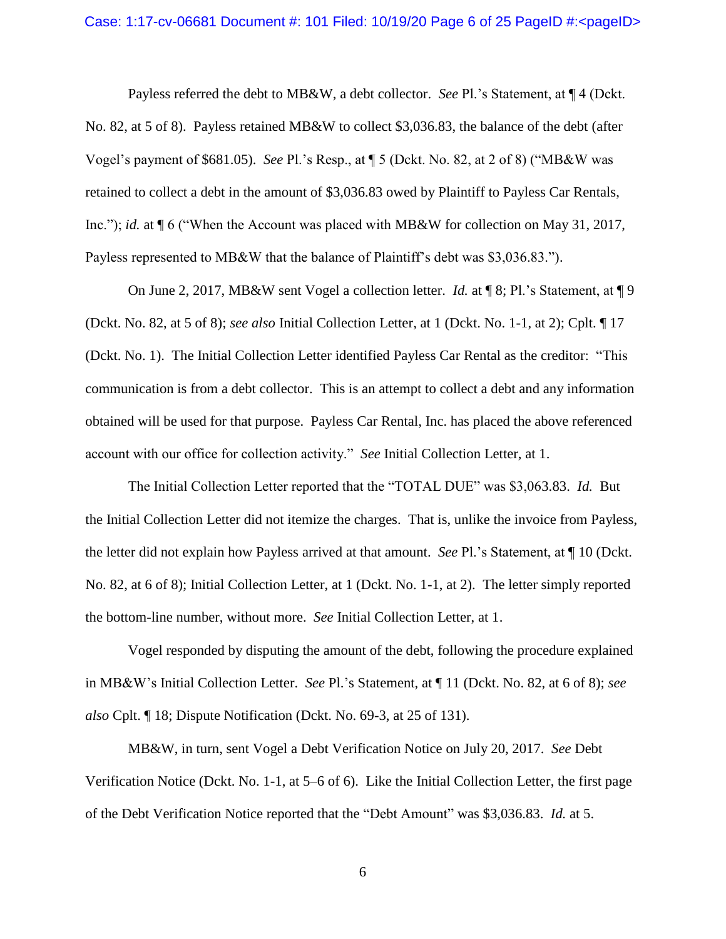Payless referred the debt to MB&W, a debt collector. *See* Pl.'s Statement, at ¶ 4 (Dckt. No. 82, at 5 of 8). Payless retained MB&W to collect \$3,036.83, the balance of the debt (after Vogel's payment of \$681.05). *See* Pl.'s Resp., at ¶ 5 (Dckt. No. 82, at 2 of 8) ("MB&W was retained to collect a debt in the amount of \$3,036.83 owed by Plaintiff to Payless Car Rentals, Inc."); *id.* at ¶ 6 ("When the Account was placed with MB&W for collection on May 31, 2017, Payless represented to MB&W that the balance of Plaintiff's debt was \$3,036.83.").

On June 2, 2017, MB&W sent Vogel a collection letter. *Id.* at ¶ 8; Pl.'s Statement, at ¶ 9 (Dckt. No. 82, at 5 of 8); *see also* Initial Collection Letter, at 1 (Dckt. No. 1-1, at 2); Cplt. ¶ 17 (Dckt. No. 1). The Initial Collection Letter identified Payless Car Rental as the creditor: "This communication is from a debt collector. This is an attempt to collect a debt and any information obtained will be used for that purpose. Payless Car Rental, Inc. has placed the above referenced account with our office for collection activity." *See* Initial Collection Letter, at 1.

The Initial Collection Letter reported that the "TOTAL DUE" was \$3,063.83. *Id.* But the Initial Collection Letter did not itemize the charges. That is, unlike the invoice from Payless, the letter did not explain how Payless arrived at that amount. *See* Pl.'s Statement, at ¶ 10 (Dckt. No. 82, at 6 of 8); Initial Collection Letter, at 1 (Dckt. No. 1-1, at 2). The letter simply reported the bottom-line number, without more. *See* Initial Collection Letter, at 1.

Vogel responded by disputing the amount of the debt, following the procedure explained in MB&W's Initial Collection Letter. *See* Pl.'s Statement, at ¶ 11 (Dckt. No. 82, at 6 of 8); *see also* Cplt. ¶ 18; Dispute Notification (Dckt. No. 69-3, at 25 of 131).

MB&W, in turn, sent Vogel a Debt Verification Notice on July 20, 2017. *See* Debt Verification Notice (Dckt. No. 1-1, at 5–6 of 6). Like the Initial Collection Letter, the first page of the Debt Verification Notice reported that the "Debt Amount" was \$3,036.83. *Id.* at 5.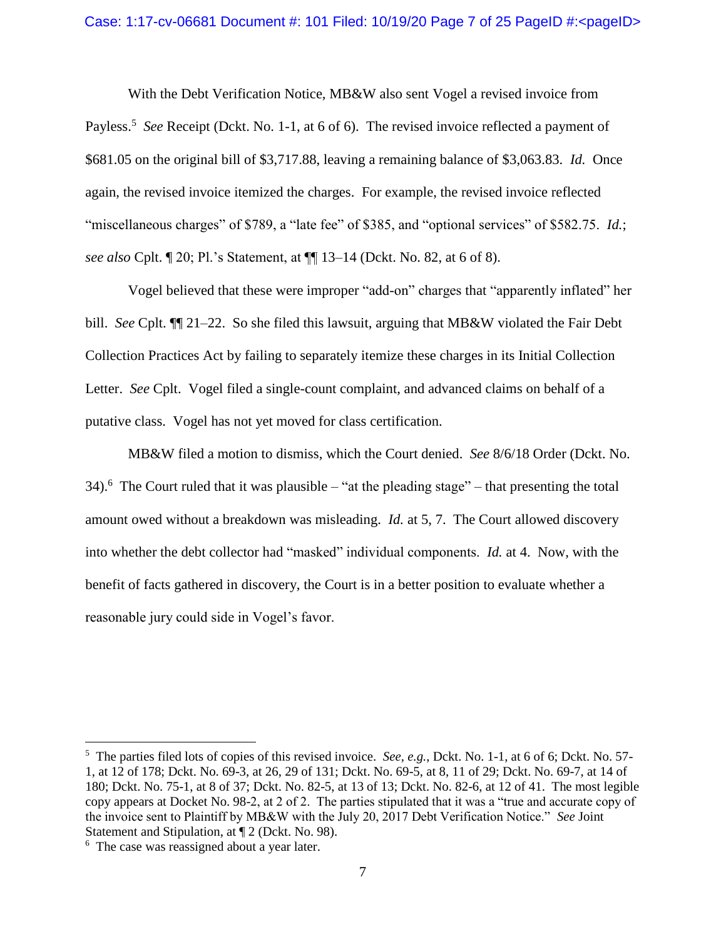With the Debt Verification Notice, MB&W also sent Vogel a revised invoice from Payless.<sup>5</sup> See Receipt (Dckt. No. 1-1, at 6 of 6). The revised invoice reflected a payment of \$681.05 on the original bill of \$3,717.88, leaving a remaining balance of \$3,063.83. *Id.* Once again, the revised invoice itemized the charges. For example, the revised invoice reflected "miscellaneous charges" of \$789, a "late fee" of \$385, and "optional services" of \$582.75. *Id.*; *see also* Cplt. ¶ 20; Pl.'s Statement, at ¶¶ 13–14 (Dckt. No. 82, at 6 of 8).

Vogel believed that these were improper "add-on" charges that "apparently inflated" her bill. *See* Cplt. ¶¶ 21–22. So she filed this lawsuit, arguing that MB&W violated the Fair Debt Collection Practices Act by failing to separately itemize these charges in its Initial Collection Letter. *See* Cplt. Vogel filed a single-count complaint, and advanced claims on behalf of a putative class. Vogel has not yet moved for class certification.

MB&W filed a motion to dismiss, which the Court denied. *See* 8/6/18 Order (Dckt. No. 34).<sup>6</sup> The Court ruled that it was plausible – "at the pleading stage" – that presenting the total amount owed without a breakdown was misleading. *Id.* at 5, 7. The Court allowed discovery into whether the debt collector had "masked" individual components. *Id.* at 4. Now, with the benefit of facts gathered in discovery, the Court is in a better position to evaluate whether a reasonable jury could side in Vogel's favor.

 $\overline{a}$ 

<sup>5</sup> The parties filed lots of copies of this revised invoice. *See, e.g.*, Dckt. No. 1-1, at 6 of 6; Dckt. No. 57- 1, at 12 of 178; Dckt. No. 69-3, at 26, 29 of 131; Dckt. No. 69-5, at 8, 11 of 29; Dckt. No. 69-7, at 14 of 180; Dckt. No. 75-1, at 8 of 37; Dckt. No. 82-5, at 13 of 13; Dckt. No. 82-6, at 12 of 41.The most legible copy appears at Docket No. 98-2, at 2 of 2. The parties stipulated that it was a "true and accurate copy of the invoice sent to Plaintiff by MB&W with the July 20, 2017 Debt Verification Notice." *See* Joint Statement and Stipulation, at ¶ 2 (Dckt. No. 98).

<sup>&</sup>lt;sup>6</sup> The case was reassigned about a year later.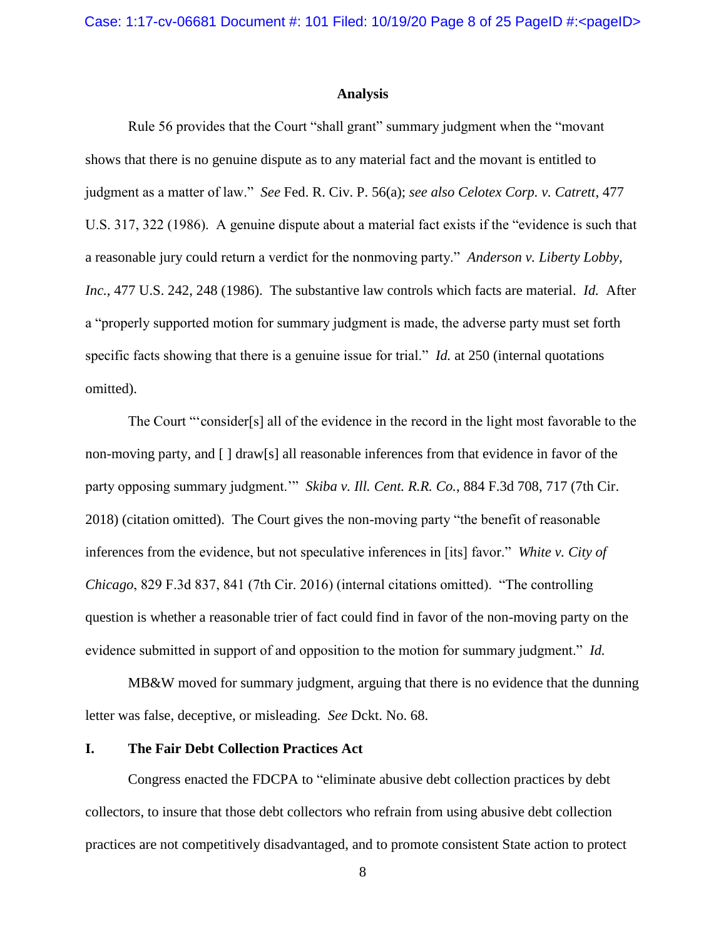# **Analysis**

Rule 56 provides that the Court "shall grant" summary judgment when the "movant shows that there is no genuine dispute as to any material fact and the movant is entitled to judgment as a matter of law." *See* Fed. R. Civ. P. 56(a); *see also Celotex Corp. v. Catrett*, 477 U.S. 317, 322 (1986). A genuine dispute about a material fact exists if the "evidence is such that a reasonable jury could return a verdict for the nonmoving party." *Anderson v. Liberty Lobby, Inc.*, 477 U.S. 242, 248 (1986). The substantive law controls which facts are material. *Id.* After a "properly supported motion for summary judgment is made, the adverse party must set forth specific facts showing that there is a genuine issue for trial." *Id.* at 250 (internal quotations omitted).

The Court "'consider[s] all of the evidence in the record in the light most favorable to the non-moving party, and [ ] draw[s] all reasonable inferences from that evidence in favor of the party opposing summary judgment.'" *Skiba v. Ill. Cent. R.R. Co.*, 884 F.3d 708, 717 (7th Cir. 2018) (citation omitted). The Court gives the non-moving party "the benefit of reasonable inferences from the evidence, but not speculative inferences in [its] favor." *White v. City of Chicago*, 829 F.3d 837, 841 (7th Cir. 2016) (internal citations omitted). "The controlling question is whether a reasonable trier of fact could find in favor of the non-moving party on the evidence submitted in support of and opposition to the motion for summary judgment." *Id.*

MB&W moved for summary judgment, arguing that there is no evidence that the dunning letter was false, deceptive, or misleading. *See* Dckt. No. 68.

### **I. The Fair Debt Collection Practices Act**

Congress enacted the FDCPA to "eliminate abusive debt collection practices by debt collectors, to insure that those debt collectors who refrain from using abusive debt collection practices are not competitively disadvantaged, and to promote consistent State action to protect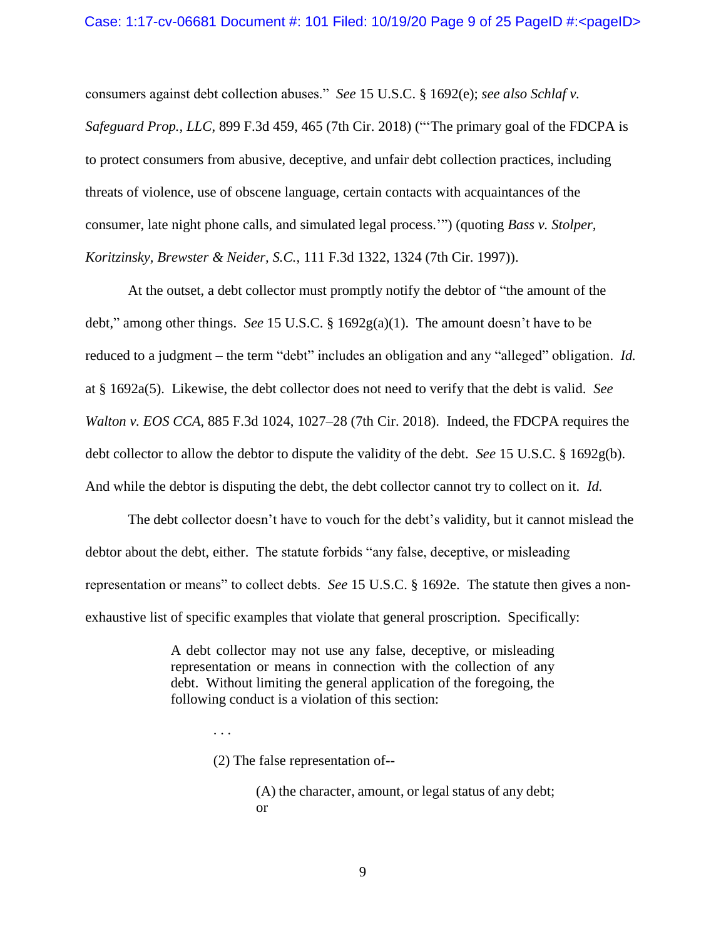consumers against debt collection abuses." *See* 15 U.S.C. § 1692(e); *see also Schlaf v. Safeguard Prop., LLC*, 899 F.3d 459, 465 (7th Cir. 2018) ("'The primary goal of the FDCPA is to protect consumers from abusive, deceptive, and unfair debt collection practices, including threats of violence, use of obscene language, certain contacts with acquaintances of the consumer, late night phone calls, and simulated legal process.'") (quoting *Bass v. Stolper, Koritzinsky, Brewster & Neider, S.C.*, 111 F.3d 1322, 1324 (7th Cir. 1997)).

At the outset, a debt collector must promptly notify the debtor of "the amount of the debt," among other things. *See* 15 U.S.C. § 1692g(a)(1). The amount doesn't have to be reduced to a judgment – the term "debt" includes an obligation and any "alleged" obligation. *Id.* at § 1692a(5). Likewise, the debt collector does not need to verify that the debt is valid. *See Walton v. EOS CCA*, 885 F.3d 1024, 1027–28 (7th Cir. 2018). Indeed, the FDCPA requires the debt collector to allow the debtor to dispute the validity of the debt. *See* 15 U.S.C. § 1692g(b). And while the debtor is disputing the debt, the debt collector cannot try to collect on it. *Id.*

The debt collector doesn't have to vouch for the debt's validity, but it cannot mislead the debtor about the debt, either. The statute forbids "any false, deceptive, or misleading representation or means" to collect debts. *See* 15 U.S.C. § 1692e. The statute then gives a nonexhaustive list of specific examples that violate that general proscription. Specifically:

> A debt collector may not use any false, deceptive, or misleading representation or means in connection with the collection of any debt. Without limiting the general application of the foregoing, the following conduct is a violation of this section:

> > . . .

(2) The false representation of--

(A) the character, amount, or legal status of any debt; or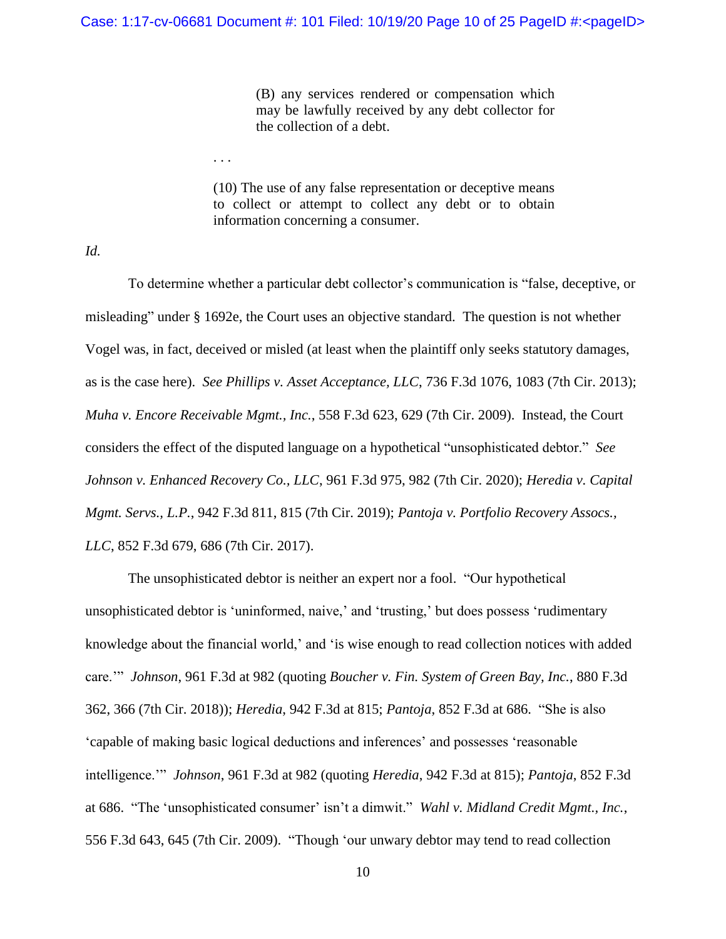(B) any services rendered or compensation which may be lawfully received by any debt collector for the collection of a debt.

(10) The use of any false representation or deceptive means to collect or attempt to collect any debt or to obtain information concerning a consumer.

*Id.*

. . .

To determine whether a particular debt collector's communication is "false, deceptive, or misleading" under § 1692e, the Court uses an objective standard. The question is not whether Vogel was, in fact, deceived or misled (at least when the plaintiff only seeks statutory damages, as is the case here). *See Phillips v. Asset Acceptance, LLC*, 736 F.3d 1076, 1083 (7th Cir. 2013); *Muha v. Encore Receivable Mgmt., Inc.*, 558 F.3d 623, 629 (7th Cir. 2009). Instead, the Court considers the effect of the disputed language on a hypothetical "unsophisticated debtor." *See Johnson v. Enhanced Recovery Co., LLC*, 961 F.3d 975, 982 (7th Cir. 2020); *Heredia v. Capital Mgmt. Servs., L.P.*, 942 F.3d 811, 815 (7th Cir. 2019); *Pantoja v. Portfolio Recovery Assocs., LLC*, 852 F.3d 679, 686 (7th Cir. 2017).

The unsophisticated debtor is neither an expert nor a fool. "Our hypothetical unsophisticated debtor is 'uninformed, naive,' and 'trusting,' but does possess 'rudimentary knowledge about the financial world,' and 'is wise enough to read collection notices with added care.'" *Johnson*, 961 F.3d at 982 (quoting *Boucher v. Fin. System of Green Bay, Inc.*, 880 F.3d 362, 366 (7th Cir. 2018)); *Heredia*, 942 F.3d at 815; *Pantoja*, 852 F.3d at 686. "She is also 'capable of making basic logical deductions and inferences' and possesses 'reasonable intelligence.'" *Johnson*, 961 F.3d at 982 (quoting *Heredia*, 942 F.3d at 815); *Pantoja*, 852 F.3d at 686. "The 'unsophisticated consumer' isn't a dimwit." *Wahl v. Midland Credit Mgmt., Inc.*, 556 F.3d 643, 645 (7th Cir. 2009). "Though 'our unwary debtor may tend to read collection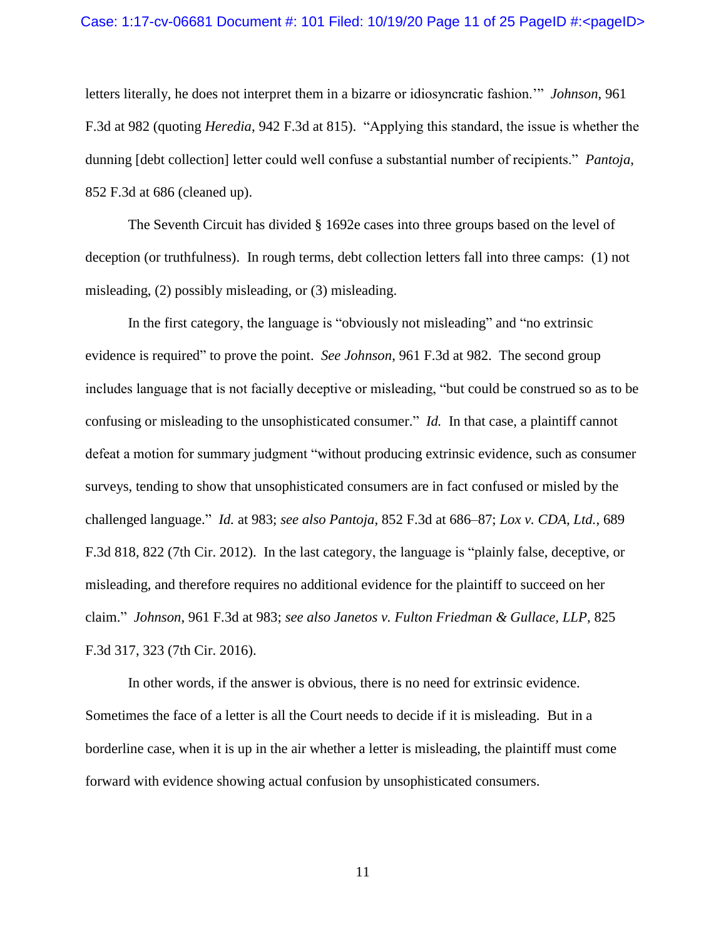### Case: 1:17-cv-06681 Document #: 101 Filed: 10/19/20 Page 11 of 25 PageID #:<pageID>

letters literally, he does not interpret them in a bizarre or idiosyncratic fashion.'" *Johnson*, 961 F.3d at 982 (quoting *Heredia*, 942 F.3d at 815). "Applying this standard, the issue is whether the dunning [debt collection] letter could well confuse a substantial number of recipients." *Pantoja*, 852 F.3d at 686 (cleaned up).

The Seventh Circuit has divided § 1692e cases into three groups based on the level of deception (or truthfulness). In rough terms, debt collection letters fall into three camps: (1) not misleading, (2) possibly misleading, or (3) misleading.

In the first category, the language is "obviously not misleading" and "no extrinsic evidence is required" to prove the point. *See Johnson*, 961 F.3d at 982. The second group includes language that is not facially deceptive or misleading, "but could be construed so as to be confusing or misleading to the unsophisticated consumer." *Id.* In that case, a plaintiff cannot defeat a motion for summary judgment "without producing extrinsic evidence, such as consumer surveys, tending to show that unsophisticated consumers are in fact confused or misled by the challenged language." *Id.* at 983; *see also Pantoja*, 852 F.3d at 686–87; *Lox v. CDA, Ltd.*, 689 F.3d 818, 822 (7th Cir. 2012). In the last category, the language is "plainly false, deceptive, or misleading, and therefore requires no additional evidence for the plaintiff to succeed on her claim." *Johnson*, 961 F.3d at 983; *see also Janetos v. Fulton Friedman & Gullace, LLP*, 825 F.3d 317, 323 (7th Cir. 2016).

In other words, if the answer is obvious, there is no need for extrinsic evidence. Sometimes the face of a letter is all the Court needs to decide if it is misleading. But in a borderline case, when it is up in the air whether a letter is misleading, the plaintiff must come forward with evidence showing actual confusion by unsophisticated consumers.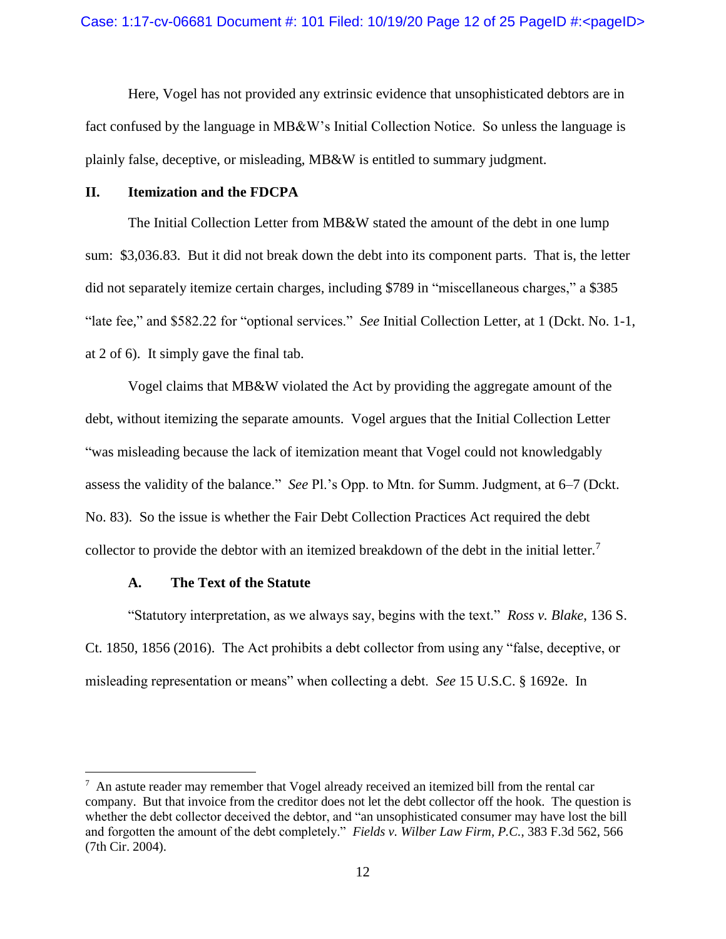Here, Vogel has not provided any extrinsic evidence that unsophisticated debtors are in fact confused by the language in MB&W's Initial Collection Notice. So unless the language is plainly false, deceptive, or misleading, MB&W is entitled to summary judgment.

# **II. Itemization and the FDCPA**

The Initial Collection Letter from MB&W stated the amount of the debt in one lump sum: \$3,036.83. But it did not break down the debt into its component parts. That is, the letter did not separately itemize certain charges, including \$789 in "miscellaneous charges," a \$385 "late fee," and \$582.22 for "optional services." *See* Initial Collection Letter, at 1 (Dckt. No. 1-1, at 2 of 6). It simply gave the final tab.

Vogel claims that MB&W violated the Act by providing the aggregate amount of the debt, without itemizing the separate amounts. Vogel argues that the Initial Collection Letter "was misleading because the lack of itemization meant that Vogel could not knowledgably assess the validity of the balance." *See* Pl.'s Opp. to Mtn. for Summ. Judgment, at 6–7 (Dckt. No. 83). So the issue is whether the Fair Debt Collection Practices Act required the debt collector to provide the debtor with an itemized breakdown of the debt in the initial letter.<sup>7</sup>

### **A. The Text of the Statute**

 $\overline{a}$ 

"Statutory interpretation, as we always say, begins with the text." *Ross v. Blake*, 136 S. Ct. 1850, 1856 (2016). The Act prohibits a debt collector from using any "false, deceptive, or misleading representation or means" when collecting a debt. *See* 15 U.S.C. § 1692e. In

 $<sup>7</sup>$  An astute reader may remember that Vogel already received an itemized bill from the rental car</sup> company. But that invoice from the creditor does not let the debt collector off the hook. The question is whether the debt collector deceived the debtor, and "an unsophisticated consumer may have lost the bill and forgotten the amount of the debt completely." *Fields v. Wilber Law Firm, P.C.*, 383 F.3d 562, 566 (7th Cir. 2004).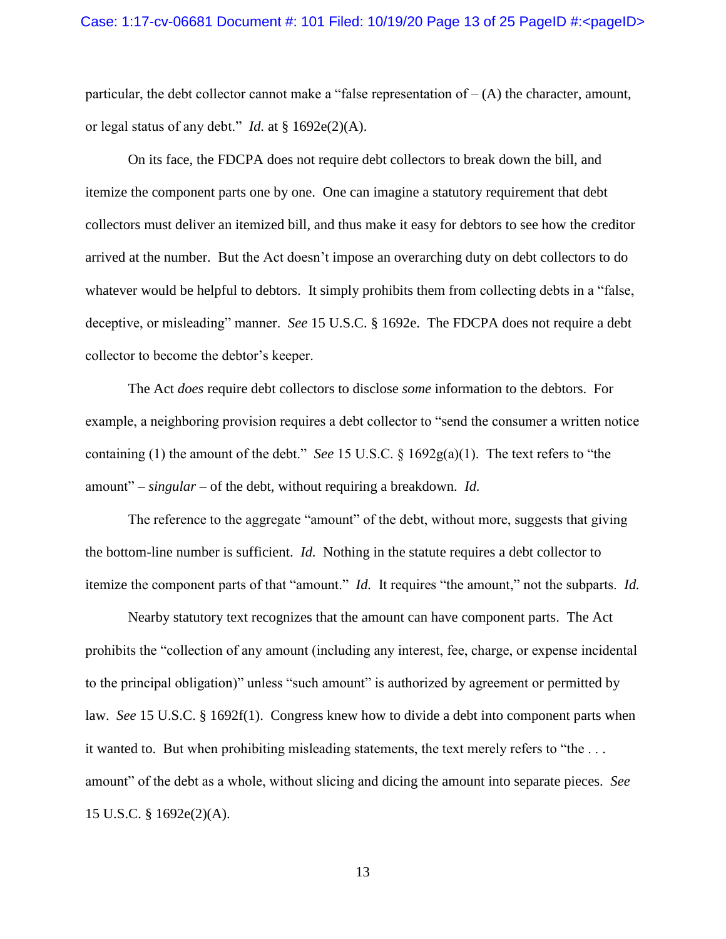particular, the debt collector cannot make a "false representation of  $-$  (A) the character, amount, or legal status of any debt." *Id.* at § 1692e(2)(A).

On its face, the FDCPA does not require debt collectors to break down the bill, and itemize the component parts one by one. One can imagine a statutory requirement that debt collectors must deliver an itemized bill, and thus make it easy for debtors to see how the creditor arrived at the number. But the Act doesn't impose an overarching duty on debt collectors to do whatever would be helpful to debtors. It simply prohibits them from collecting debts in a "false, deceptive, or misleading" manner. *See* 15 U.S.C. § 1692e. The FDCPA does not require a debt collector to become the debtor's keeper.

The Act *does* require debt collectors to disclose *some* information to the debtors. For example, a neighboring provision requires a debt collector to "send the consumer a written notice containing (1) the amount of the debt." *See* 15 U.S.C. § 1692g(a)(1). The text refers to "the amount" – *singular* – of the debt, without requiring a breakdown. *Id.* 

The reference to the aggregate "amount" of the debt, without more, suggests that giving the bottom-line number is sufficient. *Id.* Nothing in the statute requires a debt collector to itemize the component parts of that "amount." *Id.* It requires "the amount," not the subparts. *Id.* 

Nearby statutory text recognizes that the amount can have component parts. The Act prohibits the "collection of any amount (including any interest, fee, charge, or expense incidental to the principal obligation)" unless "such amount" is authorized by agreement or permitted by law. *See* 15 U.S.C. § 1692f(1). Congress knew how to divide a debt into component parts when it wanted to. But when prohibiting misleading statements, the text merely refers to "the . . . amount" of the debt as a whole, without slicing and dicing the amount into separate pieces. *See*  15 U.S.C. § 1692e(2)(A).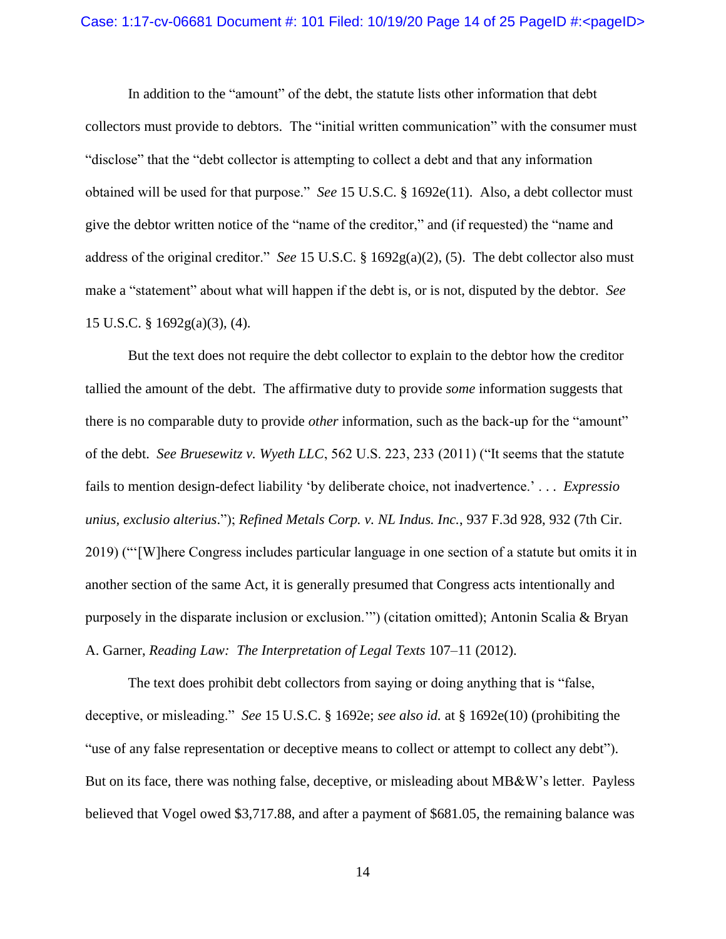### Case: 1:17-cv-06681 Document #: 101 Filed: 10/19/20 Page 14 of 25 PageID #:<pageID>

In addition to the "amount" of the debt, the statute lists other information that debt collectors must provide to debtors. The "initial written communication" with the consumer must "disclose" that the "debt collector is attempting to collect a debt and that any information obtained will be used for that purpose." *See* 15 U.S.C. § 1692e(11). Also, a debt collector must give the debtor written notice of the "name of the creditor," and (if requested) the "name and address of the original creditor." *See* 15 U.S.C. § 1692g(a)(2), (5). The debt collector also must make a "statement" about what will happen if the debt is, or is not, disputed by the debtor. *See*  15 U.S.C. § 1692g(a)(3), (4).

But the text does not require the debt collector to explain to the debtor how the creditor tallied the amount of the debt. The affirmative duty to provide *some* information suggests that there is no comparable duty to provide *other* information, such as the back-up for the "amount" of the debt. *See Bruesewitz v. Wyeth LLC*, 562 U.S. 223, 233 (2011) ("It seems that the statute fails to mention design-defect liability 'by deliberate choice, not inadvertence.' . . . *Expressio unius, exclusio alterius*."); *Refined Metals Corp. v. NL Indus. Inc.*, 937 F.3d 928, 932 (7th Cir. 2019) ("'[W]here Congress includes particular language in one section of a statute but omits it in another section of the same Act, it is generally presumed that Congress acts intentionally and purposely in the disparate inclusion or exclusion.'") (citation omitted); Antonin Scalia & Bryan A. Garner, *Reading Law: The Interpretation of Legal Texts* 107–11 (2012).

The text does prohibit debt collectors from saying or doing anything that is "false, deceptive, or misleading." *See* 15 U.S.C. § 1692e; *see also id.* at § 1692e(10) (prohibiting the "use of any false representation or deceptive means to collect or attempt to collect any debt"). But on its face, there was nothing false, deceptive, or misleading about MB&W's letter. Payless believed that Vogel owed \$3,717.88, and after a payment of \$681.05, the remaining balance was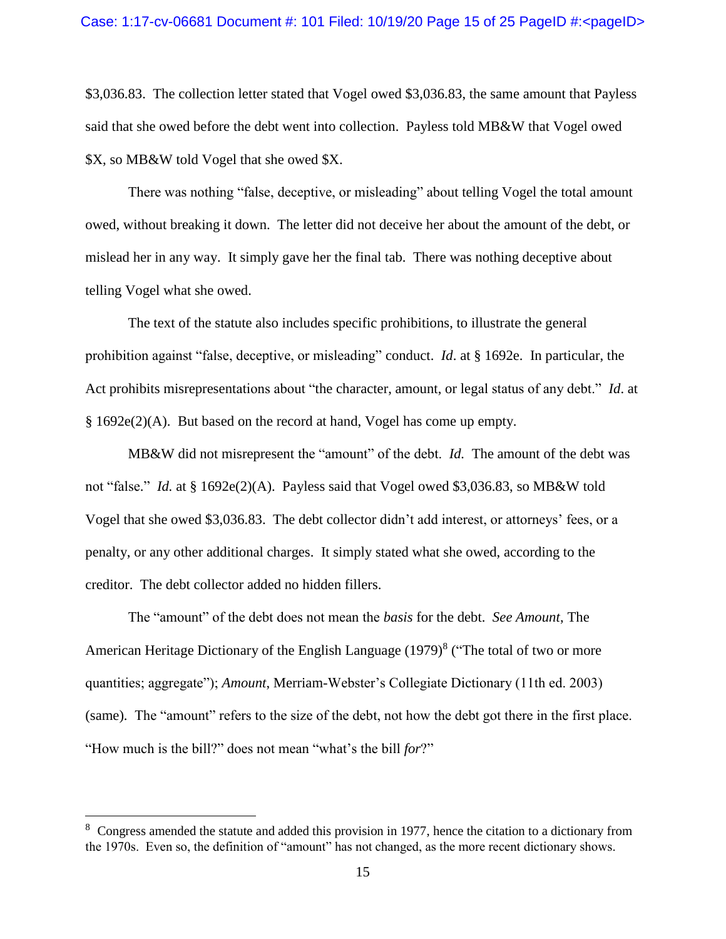\$3,036.83. The collection letter stated that Vogel owed \$3,036.83, the same amount that Payless said that she owed before the debt went into collection. Payless told MB&W that Vogel owed \$X, so MB&W told Vogel that she owed \$X.

There was nothing "false, deceptive, or misleading" about telling Vogel the total amount owed, without breaking it down. The letter did not deceive her about the amount of the debt, or mislead her in any way. It simply gave her the final tab. There was nothing deceptive about telling Vogel what she owed.

The text of the statute also includes specific prohibitions, to illustrate the general prohibition against "false, deceptive, or misleading" conduct. *Id*. at § 1692e. In particular, the Act prohibits misrepresentations about "the character, amount, or legal status of any debt." *Id*. at § 1692e(2)(A). But based on the record at hand, Vogel has come up empty.

MB&W did not misrepresent the "amount" of the debt. *Id.* The amount of the debt was not "false." *Id.* at § 1692e(2)(A). Payless said that Vogel owed \$3,036.83, so MB&W told Vogel that she owed \$3,036.83. The debt collector didn't add interest, or attorneys' fees, or a penalty, or any other additional charges. It simply stated what she owed, according to the creditor. The debt collector added no hidden fillers.

The "amount" of the debt does not mean the *basis* for the debt. *See Amount*, The American Heritage Dictionary of the English Language  $(1979)^8$  ("The total of two or more quantities; aggregate"); *Amount*, Merriam-Webster's Collegiate Dictionary (11th ed. 2003) (same). The "amount" refers to the size of the debt, not how the debt got there in the first place. "How much is the bill?" does not mean "what's the bill *for*?"

 $\overline{a}$ 

 $8\degree$  Congress amended the statute and added this provision in 1977, hence the citation to a dictionary from the 1970s. Even so, the definition of "amount" has not changed, as the more recent dictionary shows.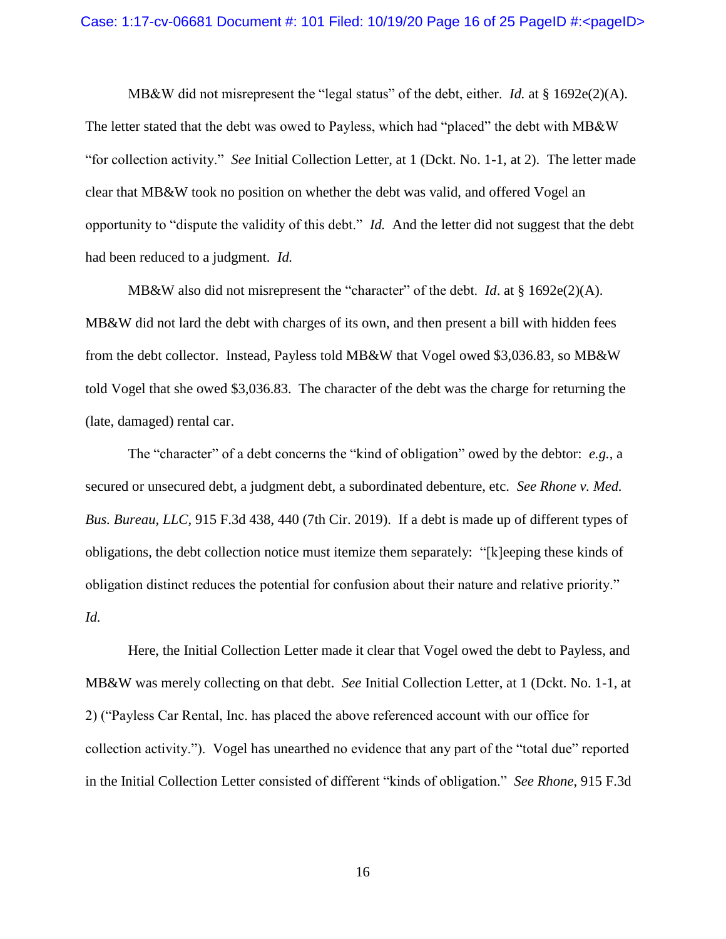MB&W did not misrepresent the "legal status" of the debt, either. *Id.* at § 1692e(2)(A). The letter stated that the debt was owed to Payless, which had "placed" the debt with MB&W "for collection activity." *See* Initial Collection Letter, at 1 (Dckt. No. 1-1, at 2). The letter made clear that MB&W took no position on whether the debt was valid, and offered Vogel an opportunity to "dispute the validity of this debt." *Id.* And the letter did not suggest that the debt had been reduced to a judgment. *Id.*

MB&W also did not misrepresent the "character" of the debt. *Id.* at  $\S$  1692e(2)(A). MB&W did not lard the debt with charges of its own, and then present a bill with hidden fees from the debt collector. Instead, Payless told MB&W that Vogel owed \$3,036.83, so MB&W told Vogel that she owed \$3,036.83. The character of the debt was the charge for returning the (late, damaged) rental car.

The "character" of a debt concerns the "kind of obligation" owed by the debtor: *e.g.*, a secured or unsecured debt, a judgment debt, a subordinated debenture, etc. *See Rhone v. Med. Bus. Bureau, LLC*, 915 F.3d 438, 440 (7th Cir. 2019). If a debt is made up of different types of obligations, the debt collection notice must itemize them separately: "[k]eeping these kinds of obligation distinct reduces the potential for confusion about their nature and relative priority." *Id.*

Here, the Initial Collection Letter made it clear that Vogel owed the debt to Payless, and MB&W was merely collecting on that debt. *See* Initial Collection Letter, at 1 (Dckt. No. 1-1, at 2) ("Payless Car Rental, Inc. has placed the above referenced account with our office for collection activity."). Vogel has unearthed no evidence that any part of the "total due" reported in the Initial Collection Letter consisted of different "kinds of obligation." *See Rhone*, 915 F.3d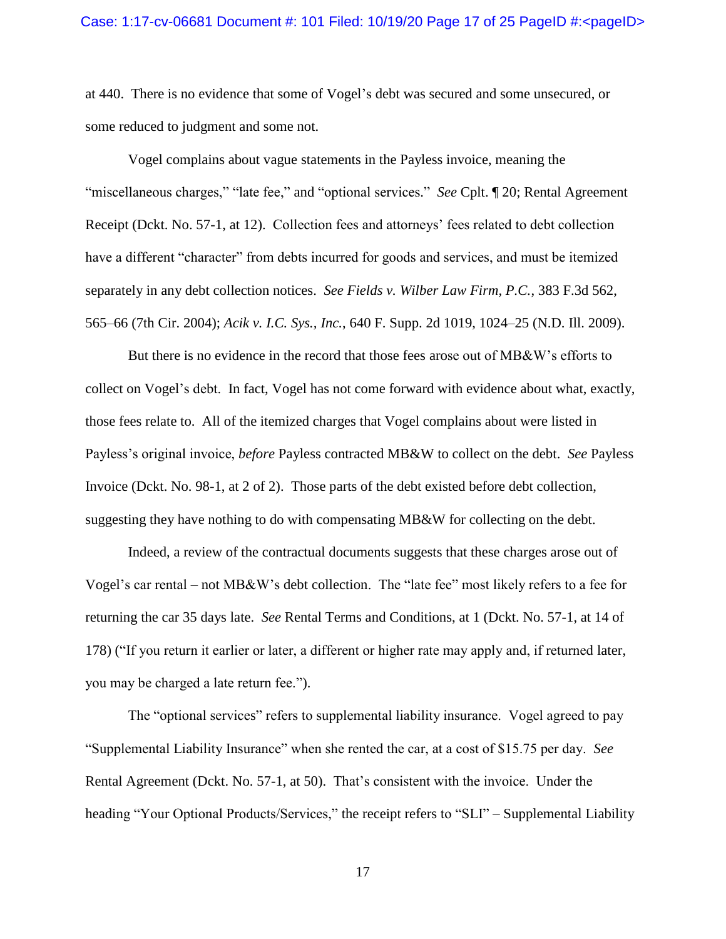at 440. There is no evidence that some of Vogel's debt was secured and some unsecured, or some reduced to judgment and some not.

Vogel complains about vague statements in the Payless invoice, meaning the "miscellaneous charges," "late fee," and "optional services." *See* Cplt. ¶ 20; Rental Agreement Receipt (Dckt. No. 57-1, at 12). Collection fees and attorneys' fees related to debt collection have a different "character" from debts incurred for goods and services, and must be itemized separately in any debt collection notices. *See Fields v. Wilber Law Firm, P.C.*, 383 F.3d 562, 565–66 (7th Cir. 2004); *Acik v. I.C. Sys., Inc.*, 640 F. Supp. 2d 1019, 1024–25 (N.D. Ill. 2009).

But there is no evidence in the record that those fees arose out of MB&W's efforts to collect on Vogel's debt. In fact, Vogel has not come forward with evidence about what, exactly, those fees relate to. All of the itemized charges that Vogel complains about were listed in Payless's original invoice, *before* Payless contracted MB&W to collect on the debt. *See* Payless Invoice (Dckt. No. 98-1, at 2 of 2). Those parts of the debt existed before debt collection, suggesting they have nothing to do with compensating MB&W for collecting on the debt.

Indeed, a review of the contractual documents suggests that these charges arose out of Vogel's car rental – not MB&W's debt collection. The "late fee" most likely refers to a fee for returning the car 35 days late. *See* Rental Terms and Conditions, at 1 (Dckt. No. 57-1, at 14 of 178) ("If you return it earlier or later, a different or higher rate may apply and, if returned later, you may be charged a late return fee.").

The "optional services" refers to supplemental liability insurance. Vogel agreed to pay "Supplemental Liability Insurance" when she rented the car, at a cost of \$15.75 per day. *See* Rental Agreement (Dckt. No. 57-1, at 50). That's consistent with the invoice. Under the heading "Your Optional Products/Services," the receipt refers to "SLI" – Supplemental Liability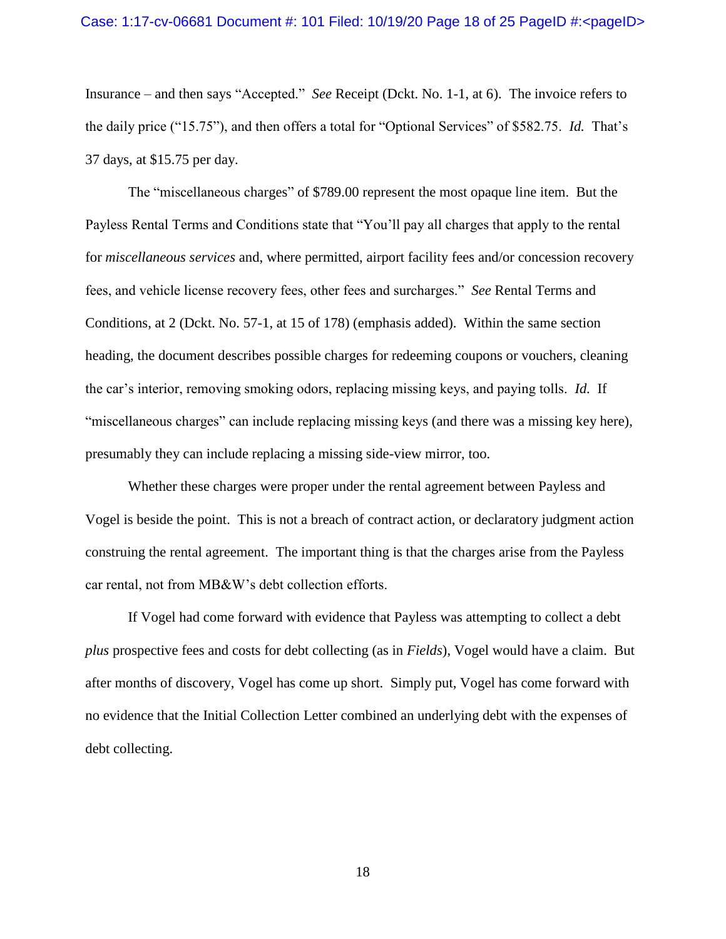### Case: 1:17-cv-06681 Document #: 101 Filed: 10/19/20 Page 18 of 25 PageID #:<pageID>

Insurance – and then says "Accepted." *See* Receipt (Dckt. No. 1-1, at 6). The invoice refers to the daily price ("15.75"), and then offers a total for "Optional Services" of \$582.75. *Id.* That's 37 days, at \$15.75 per day.

The "miscellaneous charges" of \$789.00 represent the most opaque line item. But the Payless Rental Terms and Conditions state that "You'll pay all charges that apply to the rental for *miscellaneous services* and, where permitted, airport facility fees and/or concession recovery fees, and vehicle license recovery fees, other fees and surcharges." *See* Rental Terms and Conditions, at 2 (Dckt. No. 57-1, at 15 of 178) (emphasis added). Within the same section heading, the document describes possible charges for redeeming coupons or vouchers, cleaning the car's interior, removing smoking odors, replacing missing keys, and paying tolls. *Id.* If "miscellaneous charges" can include replacing missing keys (and there was a missing key here), presumably they can include replacing a missing side-view mirror, too.

Whether these charges were proper under the rental agreement between Payless and Vogel is beside the point. This is not a breach of contract action, or declaratory judgment action construing the rental agreement. The important thing is that the charges arise from the Payless car rental, not from MB&W's debt collection efforts.

If Vogel had come forward with evidence that Payless was attempting to collect a debt *plus* prospective fees and costs for debt collecting (as in *Fields*), Vogel would have a claim. But after months of discovery, Vogel has come up short. Simply put, Vogel has come forward with no evidence that the Initial Collection Letter combined an underlying debt with the expenses of debt collecting.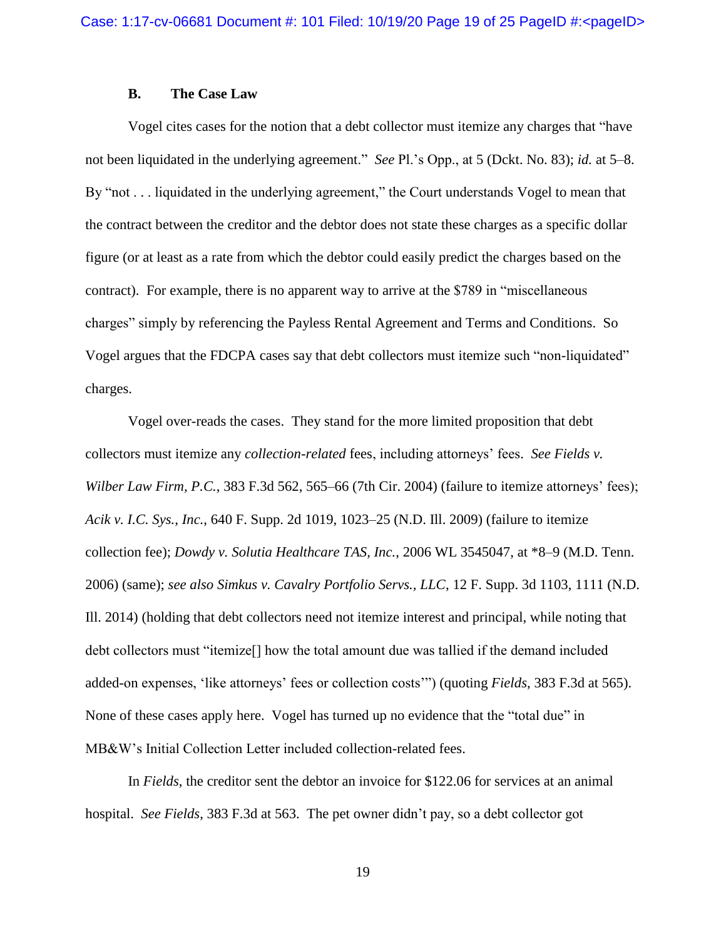# **B. The Case Law**

Vogel cites cases for the notion that a debt collector must itemize any charges that "have not been liquidated in the underlying agreement." *See* Pl.'s Opp., at 5 (Dckt. No. 83); *id.* at 5–8. By "not . . . liquidated in the underlying agreement," the Court understands Vogel to mean that the contract between the creditor and the debtor does not state these charges as a specific dollar figure (or at least as a rate from which the debtor could easily predict the charges based on the contract). For example, there is no apparent way to arrive at the \$789 in "miscellaneous charges" simply by referencing the Payless Rental Agreement and Terms and Conditions. So Vogel argues that the FDCPA cases say that debt collectors must itemize such "non-liquidated" charges.

Vogel over-reads the cases. They stand for the more limited proposition that debt collectors must itemize any *collection-related* fees, including attorneys' fees. *See Fields v. Wilber Law Firm, P.C.*, 383 F.3d 562, 565–66 (7th Cir. 2004) (failure to itemize attorneys' fees); *Acik v. I.C. Sys., Inc.*, 640 F. Supp. 2d 1019, 1023–25 (N.D. Ill. 2009) (failure to itemize collection fee); *Dowdy v. Solutia Healthcare TAS, Inc.*, 2006 WL 3545047, at \*8–9 (M.D. Tenn. 2006) (same); *see also Simkus v. Cavalry Portfolio Servs., LLC*, 12 F. Supp. 3d 1103, 1111 (N.D. Ill. 2014) (holding that debt collectors need not itemize interest and principal, while noting that debt collectors must "itemize[] how the total amount due was tallied if the demand included added-on expenses, 'like attorneys' fees or collection costs'") (quoting *Fields*, 383 F.3d at 565). None of these cases apply here. Vogel has turned up no evidence that the "total due" in MB&W's Initial Collection Letter included collection-related fees.

In *Fields*, the creditor sent the debtor an invoice for \$122.06 for services at an animal hospital. *See Fields*, 383 F.3d at 563. The pet owner didn't pay, so a debt collector got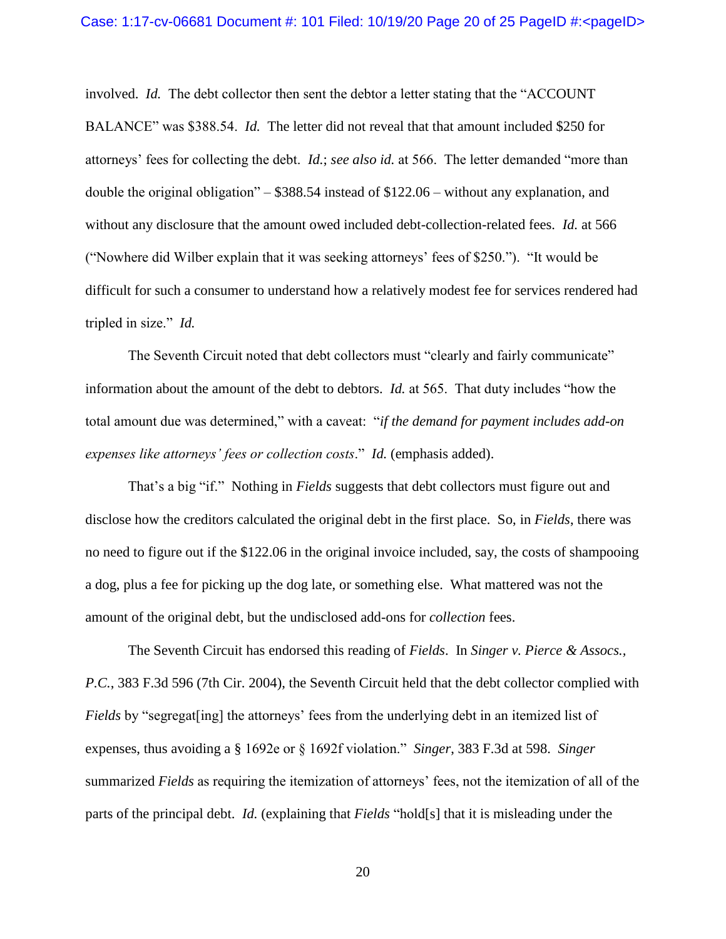involved. *Id.* The debt collector then sent the debtor a letter stating that the "ACCOUNT BALANCE" was \$388.54. *Id.* The letter did not reveal that that amount included \$250 for attorneys' fees for collecting the debt. *Id.*; *see also id.* at 566. The letter demanded "more than double the original obligation" – \$388.54 instead of \$122.06 – without any explanation, and without any disclosure that the amount owed included debt-collection-related fees. *Id.* at 566 ("Nowhere did Wilber explain that it was seeking attorneys' fees of \$250."). "It would be difficult for such a consumer to understand how a relatively modest fee for services rendered had tripled in size." *Id.* 

The Seventh Circuit noted that debt collectors must "clearly and fairly communicate" information about the amount of the debt to debtors. *Id.* at 565. That duty includes "how the total amount due was determined," with a caveat: "*if the demand for payment includes add-on expenses like attorneys' fees or collection costs*." *Id.* (emphasis added).

That's a big "if." Nothing in *Fields* suggests that debt collectors must figure out and disclose how the creditors calculated the original debt in the first place. So, in *Fields*, there was no need to figure out if the \$122.06 in the original invoice included, say, the costs of shampooing a dog, plus a fee for picking up the dog late, or something else. What mattered was not the amount of the original debt, but the undisclosed add-ons for *collection* fees.

The Seventh Circuit has endorsed this reading of *Fields*. In *Singer v. Pierce & Assocs., P.C.*, 383 F.3d 596 (7th Cir. 2004), the Seventh Circuit held that the debt collector complied with *Fields* by "segregat [ing] the attorneys' fees from the underlying debt in an itemized list of expenses, thus avoiding a § 1692e or § 1692f violation." *Singer*, 383 F.3d at 598. *Singer* summarized *Fields* as requiring the itemization of attorneys' fees, not the itemization of all of the parts of the principal debt. *Id.* (explaining that *Fields* "hold[s] that it is misleading under the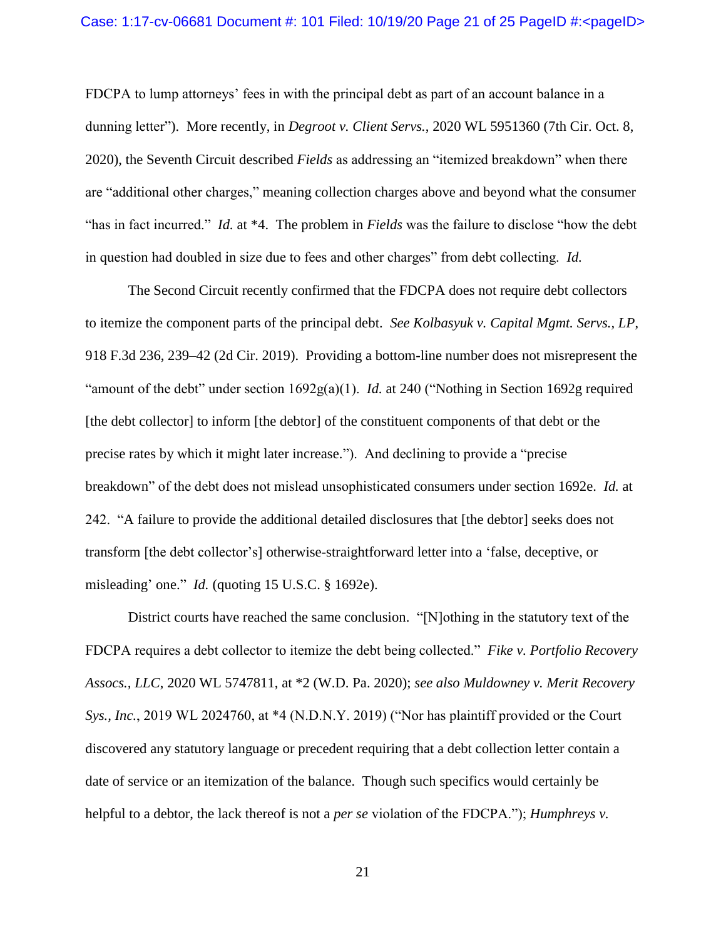### Case: 1:17-cv-06681 Document #: 101 Filed: 10/19/20 Page 21 of 25 PageID #:<pageID>

FDCPA to lump attorneys' fees in with the principal debt as part of an account balance in a dunning letter"). More recently, in *Degroot v. Client Servs.*, 2020 WL 5951360 (7th Cir. Oct. 8, 2020), the Seventh Circuit described *Fields* as addressing an "itemized breakdown" when there are "additional other charges," meaning collection charges above and beyond what the consumer "has in fact incurred." *Id.* at \*4. The problem in *Fields* was the failure to disclose "how the debt in question had doubled in size due to fees and other charges" from debt collecting. *Id.* 

The Second Circuit recently confirmed that the FDCPA does not require debt collectors to itemize the component parts of the principal debt. *See Kolbasyuk v. Capital Mgmt. Servs., LP*, 918 F.3d 236, 239–42 (2d Cir. 2019). Providing a bottom-line number does not misrepresent the "amount of the debt" under section 1692g(a)(1). *Id.* at 240 ("Nothing in Section 1692g required [the debt collector] to inform [the debtor] of the constituent components of that debt or the precise rates by which it might later increase."). And declining to provide a "precise breakdown" of the debt does not mislead unsophisticated consumers under section 1692e. *Id.* at 242. "A failure to provide the additional detailed disclosures that [the debtor] seeks does not transform [the debt collector's] otherwise-straightforward letter into a 'false, deceptive, or misleading' one." *Id.* (quoting 15 U.S.C. § 1692e).

District courts have reached the same conclusion. "[N]othing in the statutory text of the FDCPA requires a debt collector to itemize the debt being collected." *Fike v. Portfolio Recovery Assocs., LLC*, 2020 WL 5747811, at \*2 (W.D. Pa. 2020); *see also Muldowney v. Merit Recovery Sys., Inc.*, 2019 WL 2024760, at \*4 (N.D.N.Y. 2019) ("Nor has plaintiff provided or the Court discovered any statutory language or precedent requiring that a debt collection letter contain a date of service or an itemization of the balance. Though such specifics would certainly be helpful to a debtor, the lack thereof is not a *per se* violation of the FDCPA."); *Humphreys v.*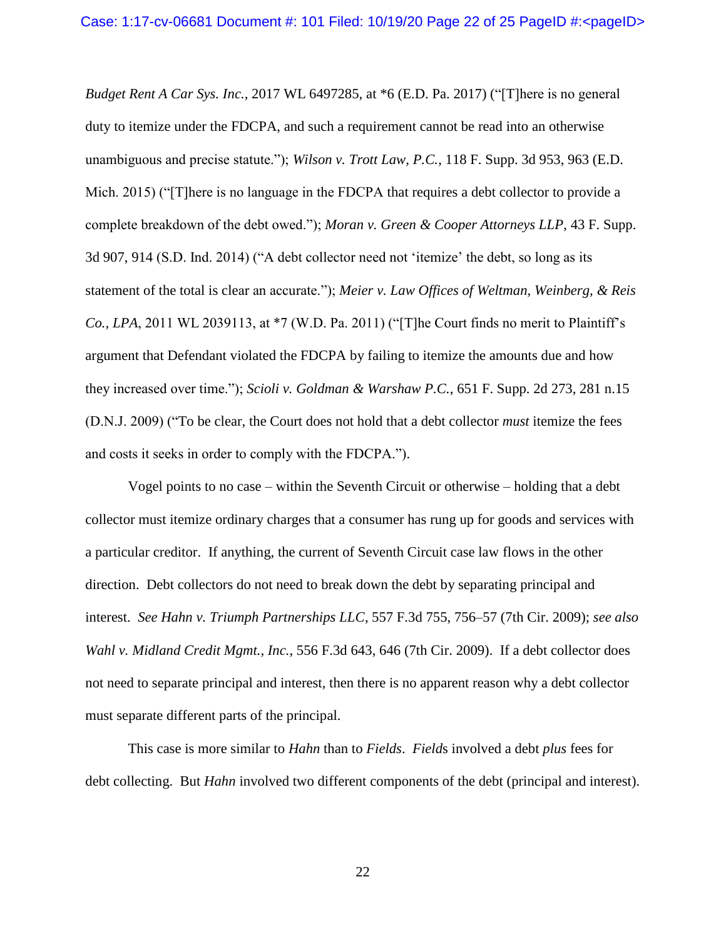*Budget Rent A Car Sys. Inc.*, 2017 WL 6497285, at \*6 (E.D. Pa. 2017) ("[T]here is no general duty to itemize under the FDCPA, and such a requirement cannot be read into an otherwise unambiguous and precise statute."); *Wilson v. Trott Law, P.C.*, 118 F. Supp. 3d 953, 963 (E.D. Mich. 2015) ("[T]here is no language in the FDCPA that requires a debt collector to provide a complete breakdown of the debt owed."); *Moran v. Green & Cooper Attorneys LLP*, 43 F. Supp. 3d 907, 914 (S.D. Ind. 2014) ("A debt collector need not 'itemize' the debt, so long as its statement of the total is clear an accurate."); *Meier v. Law Offices of Weltman, Weinberg, & Reis Co., LPA*, 2011 WL 2039113, at \*7 (W.D. Pa. 2011) ("[T]he Court finds no merit to Plaintiff's argument that Defendant violated the FDCPA by failing to itemize the amounts due and how they increased over time."); *Scioli v. Goldman & Warshaw P.C.*, 651 F. Supp. 2d 273, 281 n.15 (D.N.J. 2009) ("To be clear, the Court does not hold that a debt collector *must* itemize the fees and costs it seeks in order to comply with the FDCPA.").

Vogel points to no case – within the Seventh Circuit or otherwise – holding that a debt collector must itemize ordinary charges that a consumer has rung up for goods and services with a particular creditor. If anything, the current of Seventh Circuit case law flows in the other direction. Debt collectors do not need to break down the debt by separating principal and interest. *See Hahn v. Triumph Partnerships LLC*, 557 F.3d 755, 756–57 (7th Cir. 2009); *see also Wahl v. Midland Credit Mgmt., Inc.*, 556 F.3d 643, 646 (7th Cir. 2009). If a debt collector does not need to separate principal and interest, then there is no apparent reason why a debt collector must separate different parts of the principal.

This case is more similar to *Hahn* than to *Fields*. *Field*s involved a debt *plus* fees for debt collecting. But *Hahn* involved two different components of the debt (principal and interest).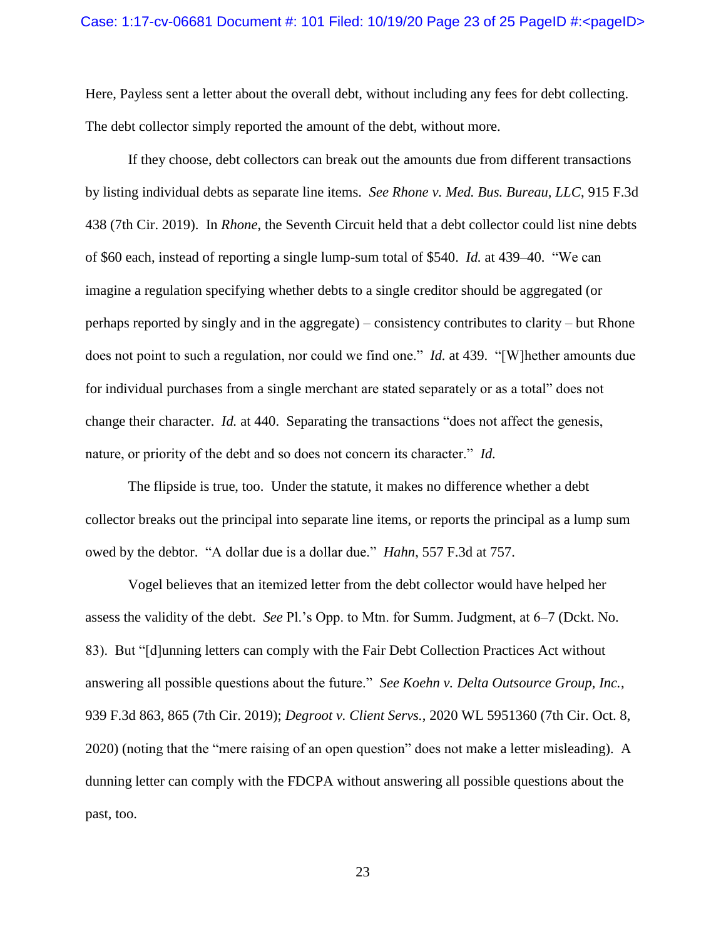Here, Payless sent a letter about the overall debt, without including any fees for debt collecting. The debt collector simply reported the amount of the debt, without more.

If they choose, debt collectors can break out the amounts due from different transactions by listing individual debts as separate line items. *See Rhone v. Med. Bus. Bureau, LLC*, 915 F.3d 438 (7th Cir. 2019). In *Rhone*, the Seventh Circuit held that a debt collector could list nine debts of \$60 each, instead of reporting a single lump-sum total of \$540. *Id.* at 439–40. "We can imagine a regulation specifying whether debts to a single creditor should be aggregated (or perhaps reported by singly and in the aggregate) – consistency contributes to clarity – but Rhone does not point to such a regulation, nor could we find one." *Id.* at 439. "[W]hether amounts due for individual purchases from a single merchant are stated separately or as a total" does not change their character. *Id.* at 440. Separating the transactions "does not affect the genesis, nature, or priority of the debt and so does not concern its character." *Id.*

The flipside is true, too. Under the statute, it makes no difference whether a debt collector breaks out the principal into separate line items, or reports the principal as a lump sum owed by the debtor. "A dollar due is a dollar due." *Hahn*, 557 F.3d at 757.

Vogel believes that an itemized letter from the debt collector would have helped her assess the validity of the debt. *See* Pl.'s Opp. to Mtn. for Summ. Judgment, at 6–7 (Dckt. No. 83). But "[d]unning letters can comply with the Fair Debt Collection Practices Act without answering all possible questions about the future." *See Koehn v. Delta Outsource Group, Inc.*, 939 F.3d 863, 865 (7th Cir. 2019); *Degroot v. Client Servs.*, 2020 WL 5951360 (7th Cir. Oct. 8, 2020) (noting that the "mere raising of an open question" does not make a letter misleading). A dunning letter can comply with the FDCPA without answering all possible questions about the past, too.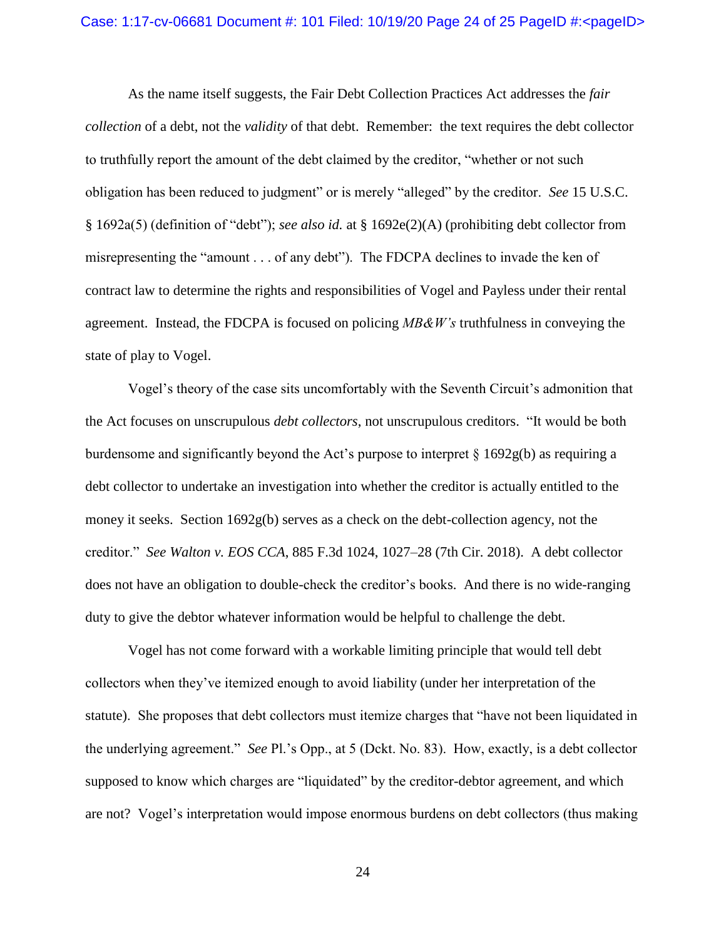### Case: 1:17-cv-06681 Document #: 101 Filed: 10/19/20 Page 24 of 25 PageID #:<pageID>

As the name itself suggests, the Fair Debt Collection Practices Act addresses the *fair collection* of a debt, not the *validity* of that debt. Remember: the text requires the debt collector to truthfully report the amount of the debt claimed by the creditor, "whether or not such obligation has been reduced to judgment" or is merely "alleged" by the creditor. *See* 15 U.S.C. § 1692a(5) (definition of "debt"); *see also id.* at § 1692e(2)(A) (prohibiting debt collector from misrepresenting the "amount . . . of any debt"). The FDCPA declines to invade the ken of contract law to determine the rights and responsibilities of Vogel and Payless under their rental agreement. Instead, the FDCPA is focused on policing *MB&W's* truthfulness in conveying the state of play to Vogel.

Vogel's theory of the case sits uncomfortably with the Seventh Circuit's admonition that the Act focuses on unscrupulous *debt collectors*, not unscrupulous creditors. "It would be both burdensome and significantly beyond the Act's purpose to interpret  $\S$  1692g(b) as requiring a debt collector to undertake an investigation into whether the creditor is actually entitled to the money it seeks. Section 1692g(b) serves as a check on the debt-collection agency, not the creditor." *See Walton v. EOS CCA*, 885 F.3d 1024, 1027–28 (7th Cir. 2018). A debt collector does not have an obligation to double-check the creditor's books. And there is no wide-ranging duty to give the debtor whatever information would be helpful to challenge the debt.

Vogel has not come forward with a workable limiting principle that would tell debt collectors when they've itemized enough to avoid liability (under her interpretation of the statute). She proposes that debt collectors must itemize charges that "have not been liquidated in the underlying agreement." *See* Pl.'s Opp., at 5 (Dckt. No. 83). How, exactly, is a debt collector supposed to know which charges are "liquidated" by the creditor-debtor agreement, and which are not? Vogel's interpretation would impose enormous burdens on debt collectors (thus making